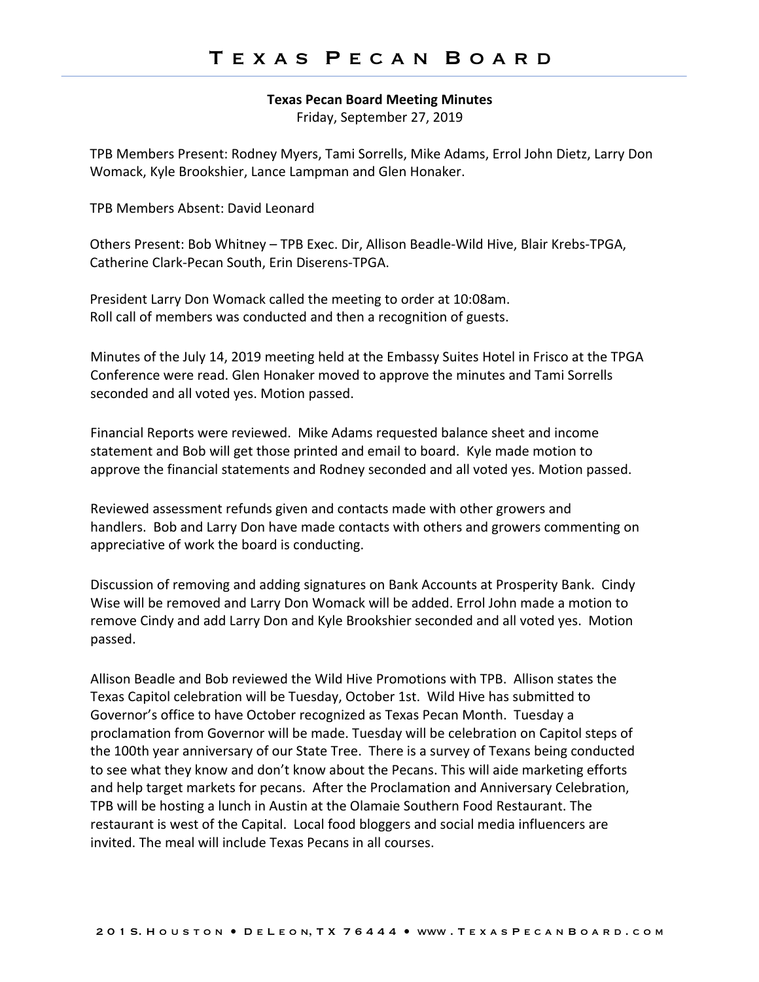## **Texas Pecan Board Meeting Minutes**

Friday, September 27, 2019

TPB Members Present: Rodney Myers, Tami Sorrells, Mike Adams, Errol John Dietz, Larry Don Womack, Kyle Brookshier, Lance Lampman and Glen Honaker.

TPB Members Absent: David Leonard

Others Present: Bob Whitney – TPB Exec. Dir, Allison Beadle-Wild Hive, Blair Krebs-TPGA, Catherine Clark-Pecan South, Erin Diserens-TPGA.

President Larry Don Womack called the meeting to order at 10:08am. Roll call of members was conducted and then a recognition of guests.

Minutes of the July 14, 2019 meeting held at the Embassy Suites Hotel in Frisco at the TPGA Conference were read. Glen Honaker moved to approve the minutes and Tami Sorrells seconded and all voted yes. Motion passed.

Financial Reports were reviewed. Mike Adams requested balance sheet and income statement and Bob will get those printed and email to board. Kyle made motion to approve the financial statements and Rodney seconded and all voted yes. Motion passed.

Reviewed assessment refunds given and contacts made with other growers and handlers. Bob and Larry Don have made contacts with others and growers commenting on appreciative of work the board is conducting.

Discussion of removing and adding signatures on Bank Accounts at Prosperity Bank. Cindy Wise will be removed and Larry Don Womack will be added. Errol John made a motion to remove Cindy and add Larry Don and Kyle Brookshier seconded and all voted yes. Motion passed.

Allison Beadle and Bob reviewed the Wild Hive Promotions with TPB. Allison states the Texas Capitol celebration will be Tuesday, October 1st. Wild Hive has submitted to Governor's office to have October recognized as Texas Pecan Month. Tuesday a proclamation from Governor will be made. Tuesday will be celebration on Capitol steps of the 100th year anniversary of our State Tree. There is a survey of Texans being conducted to see what they know and don't know about the Pecans. This will aide marketing efforts and help target markets for pecans. After the Proclamation and Anniversary Celebration, TPB will be hosting a lunch in Austin at the Olamaie Southern Food Restaurant. The restaurant is west of the Capital. Local food bloggers and social media influencers are invited. The meal will include Texas Pecans in all courses.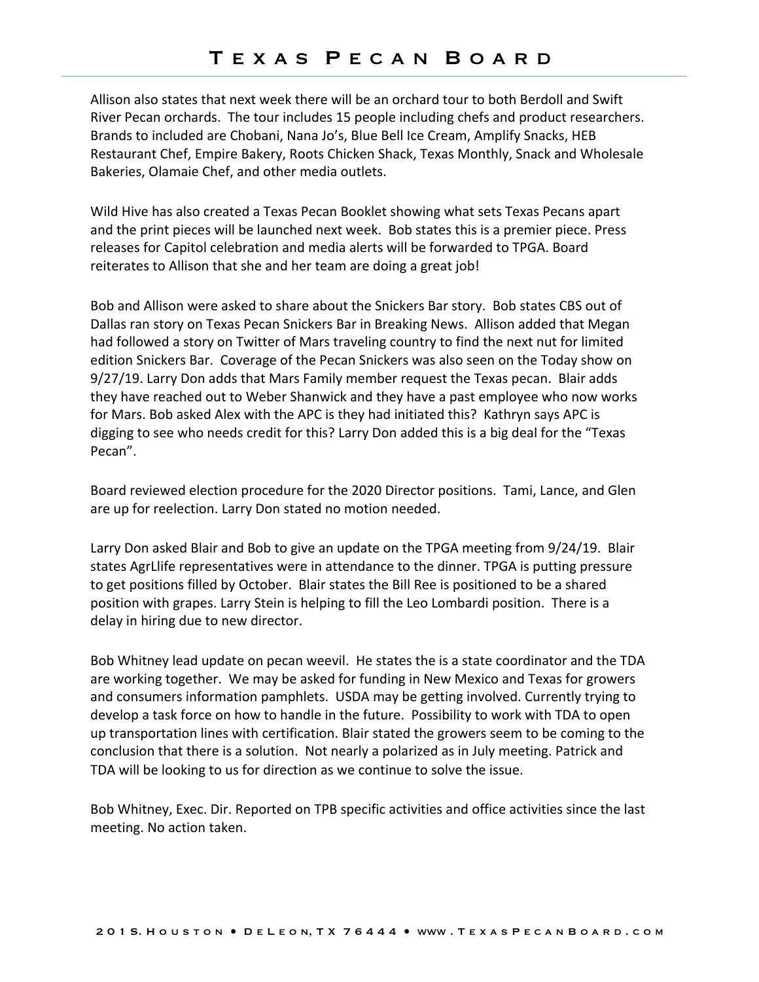Allison also states that next week there will be an orchard tour to both Berdoll and Swift River Pecan orchards. The tour includes 15 people including chefs and product researchers. Brands to included are Chobani, Nana Jo's, Blue Bell Ice Cream, Amplify Snacks, HEB Restaurant Chef, Empire Bakery, Roots Chicken Shack, Texas Monthly, Snack and Wholesale Bakeries, Olamaie Chef, and other media outlets.

Wild Hive has also created a Texas Pecan Booklet showing what sets Texas Pecans apart and the print pieces will be launched next week. Bob states this is a premier piece. Press releases for Capitol celebration and media alerts will be forwarded to TPGA. Board reiterates to Allison that she and her team are doing a great job!

Bob and Allison were asked to share about the Snickers Bar story. Bob states CBS out of Dallas ran story on Texas Pecan Snickers Bar in Breaking News. Allison added that Megan had followed a story on Twitter of Mars traveling country to find the next nut for limited edition Snickers Bar. Coverage of the Pecan Snickers was also seen on the Today show on 9/27/19. Larry Don adds that Mars Family member request the Texas pecan. Blair adds they have reached out to Weber Shanwick and they have a past employee who now works for Mars. Bob asked Alex with the APC is they had initiated this? Kathryn says APC is digging to see who needs credit for this? Larry Don added this is a big deal for the "Texas Pecan".

Board reviewed election procedure for the 2020 Director positions. Tami, Lance, and Glen are up for reelection. Larry Don stated no motion needed.

Larry Don asked Blair and Bob to give an update on the TPGA meeting from 9/24/19. Blair states AgrLlife representatives were in attendance to the dinner. TPGA is putting pressure to get positions filled by October. Blair states the Bill Ree is positioned to be a shared position with grapes. Larry Stein is helping to fill the Leo Lombardi position. There is a delay in hiring due to new director.

Bob Whitney lead update on pecan weevil. He states the is a state coordinator and the TDA are working together. We may be asked for funding in New Mexico and Texas for growers and consumers information pamphlets. USDA may be getting involved. Currently trying to develop a task force on how to handle in the future. Possibility to work with TDA to open up transportation lines with certification. Blair stated the growers seem to be coming to the conclusion that there is a solution. Not nearly a polarized as in July meeting. Patrick and TDA will be looking to us for direction as we continue to solve the issue.

Bob Whitney, Exec. Dir. Reported on TPB specific activities and office activities since the last meeting. No action taken.